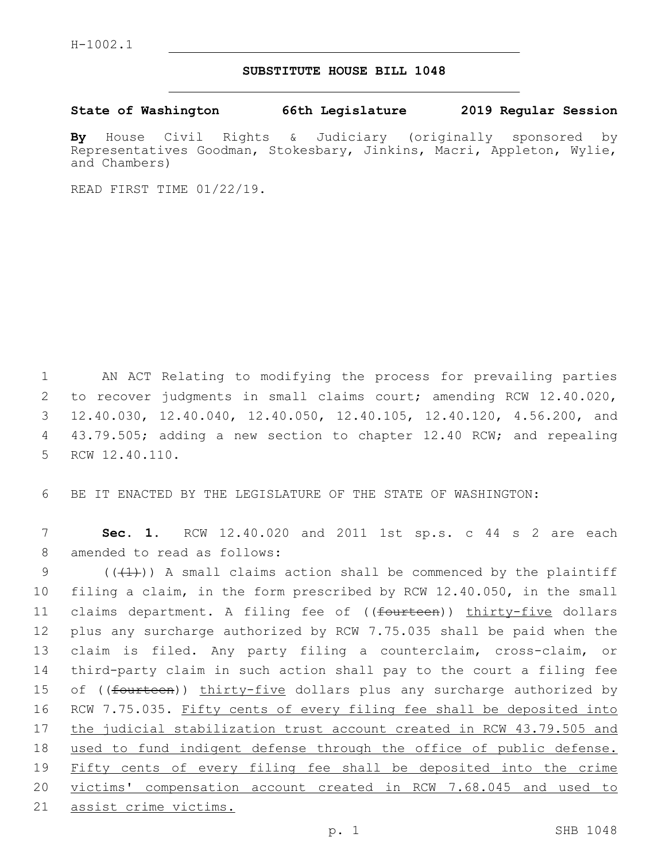## **SUBSTITUTE HOUSE BILL 1048**

**State of Washington 66th Legislature 2019 Regular Session**

**By** House Civil Rights & Judiciary (originally sponsored by Representatives Goodman, Stokesbary, Jinkins, Macri, Appleton, Wylie, and Chambers)

READ FIRST TIME 01/22/19.

1 AN ACT Relating to modifying the process for prevailing parties 2 to recover judgments in small claims court; amending RCW 12.40.020, 3 12.40.030, 12.40.040, 12.40.050, 12.40.105, 12.40.120, 4.56.200, and 4 43.79.505; adding a new section to chapter 12.40 RCW; and repealing 5 RCW 12.40.110.

6 BE IT ENACTED BY THE LEGISLATURE OF THE STATE OF WASHINGTON:

7 **Sec. 1.** RCW 12.40.020 and 2011 1st sp.s. c 44 s 2 are each 8 amended to read as follows:

 $((+1))$  A small claims action shall be commenced by the plaintiff filing a claim, in the form prescribed by RCW 12.40.050, in the small 11 claims department. A filing fee of ((<del>fourteen</del>)) thirty-five dollars plus any surcharge authorized by RCW 7.75.035 shall be paid when the claim is filed. Any party filing a counterclaim, cross-claim, or third-party claim in such action shall pay to the court a filing fee 15 of ((<del>fourteen</del>)) thirty-five dollars plus any surcharge authorized by 16 RCW 7.75.035. Fifty cents of every filing fee shall be deposited into 17 the judicial stabilization trust account created in RCW 43.79.505 and used to fund indigent defense through the office of public defense. Fifty cents of every filing fee shall be deposited into the crime victims' compensation account created in RCW 7.68.045 and used to assist crime victims.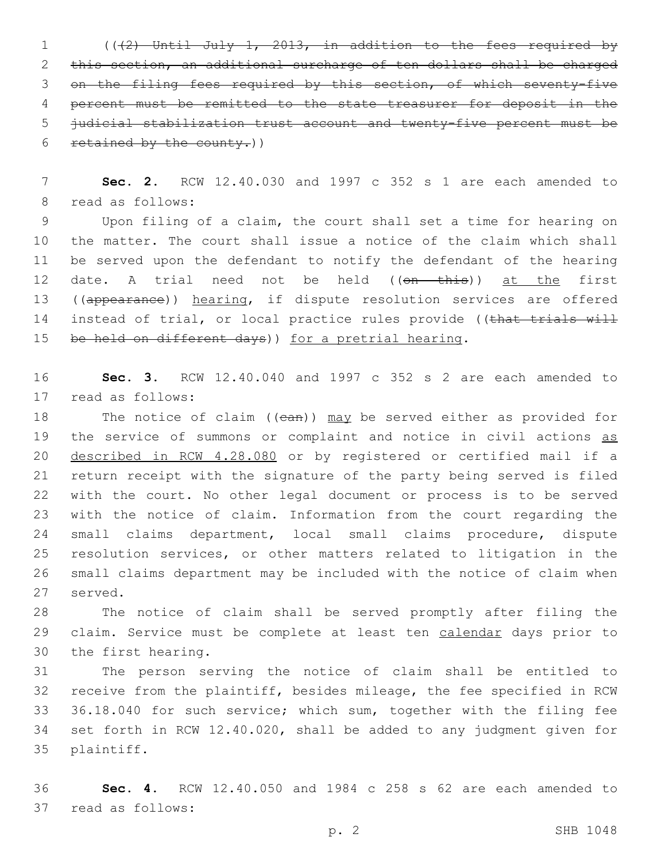(((2) Until July 1, 2013, in addition to the fees required by this section, an additional surcharge of ten dollars shall be charged on the filing fees required by this section, of which seventy-five percent must be remitted to the state treasurer for deposit in the judicial stabilization trust account and twenty-five percent must be 6 retained by the county.)

 **Sec. 2.** RCW 12.40.030 and 1997 c 352 s 1 are each amended to 8 read as follows:

 Upon filing of a claim, the court shall set a time for hearing on the matter. The court shall issue a notice of the claim which shall be served upon the defendant to notify the defendant of the hearing 12 date. A trial need not be held ((on this)) at the first 13 ((appearance)) hearing, if dispute resolution services are offered 14 instead of trial, or local practice rules provide ((that trials will 15 be held on different days)) for a pretrial hearing.

 **Sec. 3.** RCW 12.40.040 and 1997 c 352 s 2 are each amended to 17 read as follows:

18 The notice of claim ((ean)) may be served either as provided for 19 the service of summons or complaint and notice in civil actions as described in RCW 4.28.080 or by registered or certified mail if a return receipt with the signature of the party being served is filed with the court. No other legal document or process is to be served with the notice of claim. Information from the court regarding the small claims department, local small claims procedure, dispute resolution services, or other matters related to litigation in the small claims department may be included with the notice of claim when 27 served.

 The notice of claim shall be served promptly after filing the 29 claim. Service must be complete at least ten calendar days prior to 30 the first hearing.

 The person serving the notice of claim shall be entitled to receive from the plaintiff, besides mileage, the fee specified in RCW 36.18.040 for such service; which sum, together with the filing fee set forth in RCW 12.40.020, shall be added to any judgment given for 35 plaintiff.

 **Sec. 4.** RCW 12.40.050 and 1984 c 258 s 62 are each amended to 37 read as follows: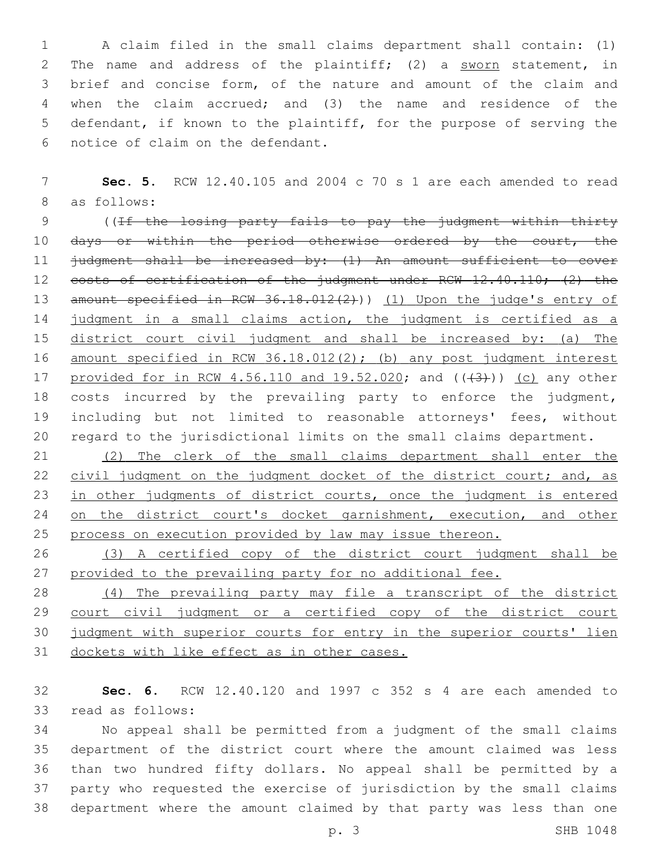A claim filed in the small claims department shall contain: (1) The name and address of the plaintiff; (2) a sworn statement, in brief and concise form, of the nature and amount of the claim and when the claim accrued; and (3) the name and residence of the defendant, if known to the plaintiff, for the purpose of serving the 6 notice of claim on the defendant.

7 **Sec. 5.** RCW 12.40.105 and 2004 c 70 s 1 are each amended to read 8 as follows:

9 ((If the losing party fails to pay the judgment within thirty 10 days or within the period otherwise ordered by the court, the 11 judgment shall be increased by: (1) An amount sufficient to cover 12 costs of certification of the judgment under RCW 12.40.110; (2) the 13 amount specified in RCW 36.18.012(2))) (1) Upon the judge's entry of 14 judgment in a small claims action, the judgment is certified as a 15 district court civil judgment and shall be increased by: (a) The 16 amount specified in RCW 36.18.012(2); (b) any post judgment interest 17 provided for in RCW 4.56.110 and  $19.52.020$ ; and  $((43+))$  (c) any other 18 costs incurred by the prevailing party to enforce the judgment, 19 including but not limited to reasonable attorneys' fees, without 20 regard to the jurisdictional limits on the small claims department.

21 (2) The clerk of the small claims department shall enter the 22 civil judgment on the judgment docket of the district court; and, as 23 in other judgments of district courts, once the judgment is entered 24 on the district court's docket garnishment, execution, and other 25 process on execution provided by law may issue thereon.

26 (3) A certified copy of the district court judgment shall be 27 provided to the prevailing party for no additional fee.

 (4) The prevailing party may file a transcript of the district 29 court civil judgment or a certified copy of the district court judgment with superior courts for entry in the superior courts' lien dockets with like effect as in other cases.

32 **Sec. 6.** RCW 12.40.120 and 1997 c 352 s 4 are each amended to 33 read as follows:

 No appeal shall be permitted from a judgment of the small claims department of the district court where the amount claimed was less than two hundred fifty dollars. No appeal shall be permitted by a party who requested the exercise of jurisdiction by the small claims department where the amount claimed by that party was less than one

p. 3 SHB 1048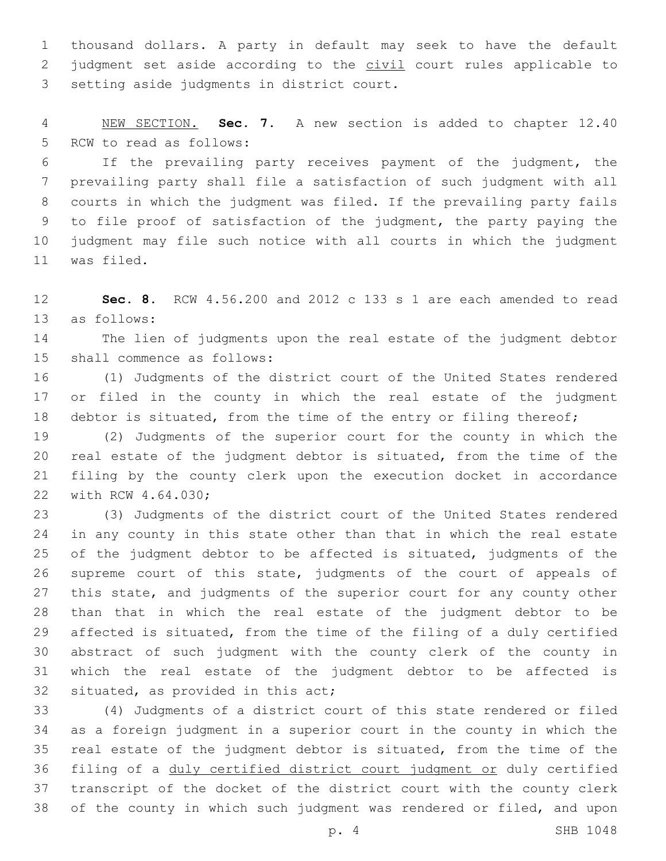thousand dollars. A party in default may seek to have the default 2 judgment set aside according to the civil court rules applicable to 3 setting aside judgments in district court.

 NEW SECTION. **Sec. 7.** A new section is added to chapter 12.40 5 RCW to read as follows:

 If the prevailing party receives payment of the judgment, the prevailing party shall file a satisfaction of such judgment with all courts in which the judgment was filed. If the prevailing party fails to file proof of satisfaction of the judgment, the party paying the judgment may file such notice with all courts in which the judgment 11 was filed.

 **Sec. 8.** RCW 4.56.200 and 2012 c 133 s 1 are each amended to read 13 as follows:

 The lien of judgments upon the real estate of the judgment debtor 15 shall commence as follows:

 (1) Judgments of the district court of the United States rendered or filed in the county in which the real estate of the judgment 18 debtor is situated, from the time of the entry or filing thereof;

 (2) Judgments of the superior court for the county in which the real estate of the judgment debtor is situated, from the time of the filing by the county clerk upon the execution docket in accordance 22 with RCW 4.64.030;

 (3) Judgments of the district court of the United States rendered in any county in this state other than that in which the real estate of the judgment debtor to be affected is situated, judgments of the supreme court of this state, judgments of the court of appeals of this state, and judgments of the superior court for any county other than that in which the real estate of the judgment debtor to be affected is situated, from the time of the filing of a duly certified abstract of such judgment with the county clerk of the county in which the real estate of the judgment debtor to be affected is 32 situated, as provided in this act;

 (4) Judgments of a district court of this state rendered or filed as a foreign judgment in a superior court in the county in which the real estate of the judgment debtor is situated, from the time of the 36 filing of a duly certified district court judgment or duly certified transcript of the docket of the district court with the county clerk of the county in which such judgment was rendered or filed, and upon

p. 4 SHB 1048